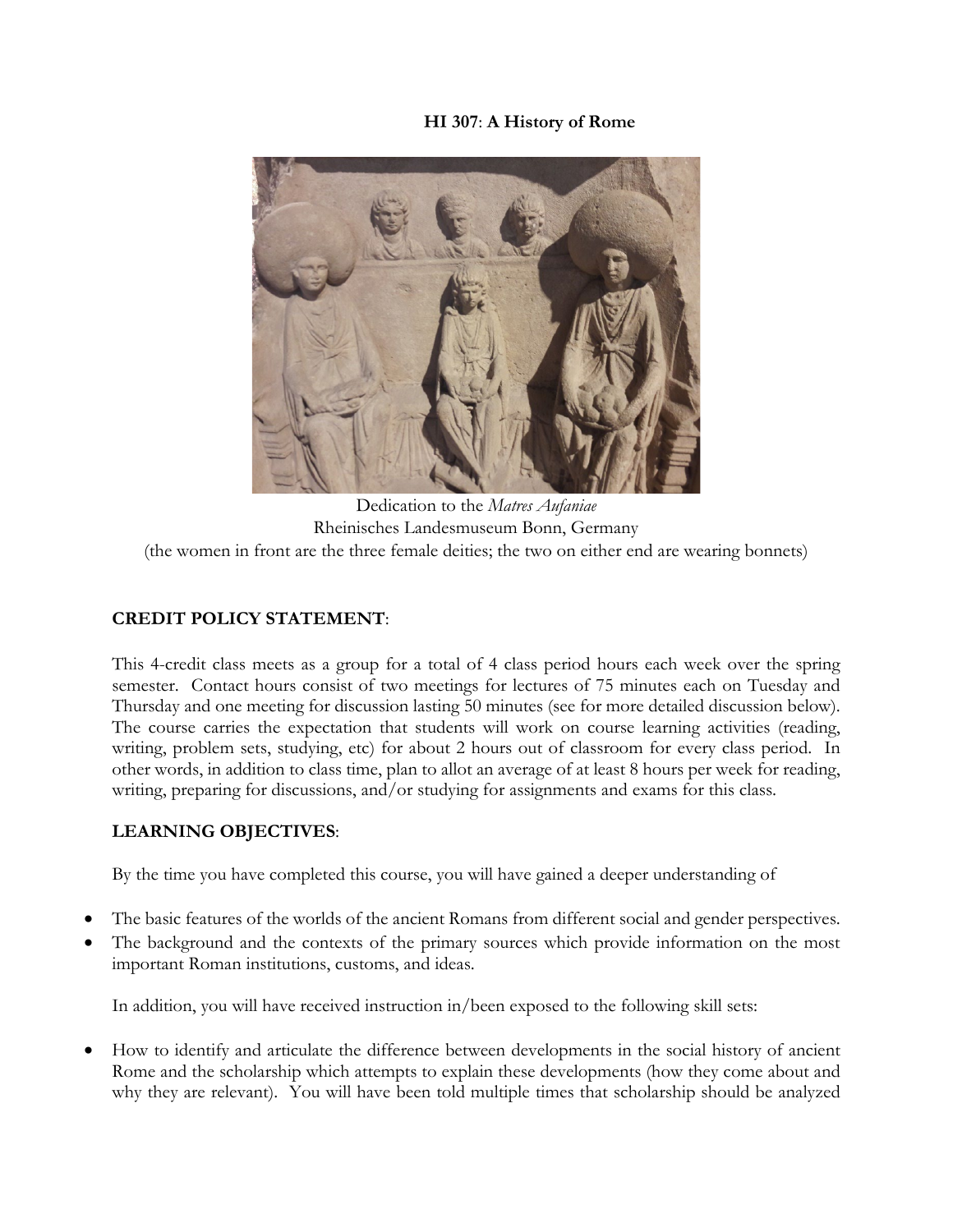## **HI 307**: **A History of Rome**



Dedication to the *Matres Aufaniae* Rheinisches Landesmuseum Bonn, Germany (the women in front are the three female deities; the two on either end are wearing bonnets)

# **CREDIT POLICY STATEMENT**:

This 4-credit class meets as a group for a total of 4 class period hours each week over the spring semester. Contact hours consist of two meetings for lectures of 75 minutes each on Tuesday and Thursday and one meeting for discussion lasting 50 minutes (see for more detailed discussion below). The course carries the expectation that students will work on course learning activities (reading, writing, problem sets, studying, etc) for about 2 hours out of classroom for every class period. In other words, in addition to class time, plan to allot an average of at least 8 hours per week for reading, writing, preparing for discussions, and/or studying for assignments and exams for this class.

## **LEARNING OBJECTIVES**:

By the time you have completed this course, you will have gained a deeper understanding of

- The basic features of the worlds of the ancient Romans from different social and gender perspectives.
- The background and the contexts of the primary sources which provide information on the most important Roman institutions, customs, and ideas.

In addition, you will have received instruction in/been exposed to the following skill sets:

• How to identify and articulate the difference between developments in the social history of ancient Rome and the scholarship which attempts to explain these developments (how they come about and why they are relevant). You will have been told multiple times that scholarship should be analyzed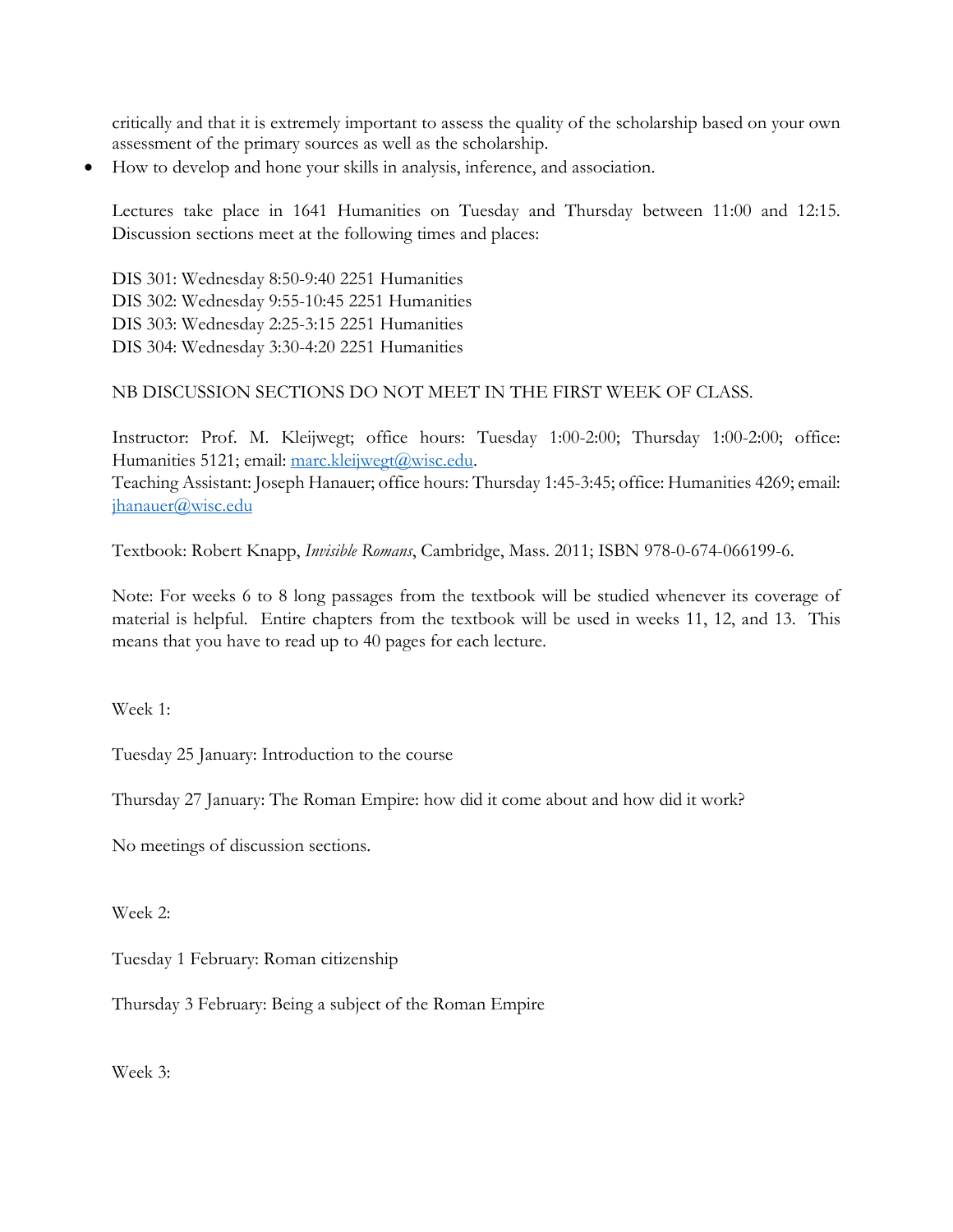critically and that it is extremely important to assess the quality of the scholarship based on your own assessment of the primary sources as well as the scholarship.

• How to develop and hone your skills in analysis, inference, and association.

Lectures take place in 1641 Humanities on Tuesday and Thursday between 11:00 and 12:15. Discussion sections meet at the following times and places:

DIS 301: Wednesday 8:50-9:40 2251 Humanities DIS 302: Wednesday 9:55-10:45 2251 Humanities DIS 303: Wednesday 2:25-3:15 2251 Humanities DIS 304: Wednesday 3:30-4:20 2251 Humanities

## NB DISCUSSION SECTIONS DO NOT MEET IN THE FIRST WEEK OF CLASS.

Instructor: Prof. M. Kleijwegt; office hours: Tuesday 1:00-2:00; Thursday 1:00-2:00; office: Humanities 5121; email: [marc.kleijwegt@wisc.edu.](mailto:marc.kleijwegt@wisc.edu) Teaching Assistant: Joseph Hanauer; office hours: Thursday 1:45-3:45; office: Humanities 4269; email: [jhanauer@wisc.edu](mailto:jhanauer@wisc.edu)

Textbook: Robert Knapp, *Invisible Romans*, Cambridge, Mass. 2011; ISBN 978-0-674-066199-6.

Note: For weeks 6 to 8 long passages from the textbook will be studied whenever its coverage of material is helpful. Entire chapters from the textbook will be used in weeks 11, 12, and 13. This means that you have to read up to 40 pages for each lecture.

Week 1:

Tuesday 25 January: Introduction to the course

Thursday 27 January: The Roman Empire: how did it come about and how did it work?

No meetings of discussion sections.

Week 2:

Tuesday 1 February: Roman citizenship

Thursday 3 February: Being a subject of the Roman Empire

Week 3: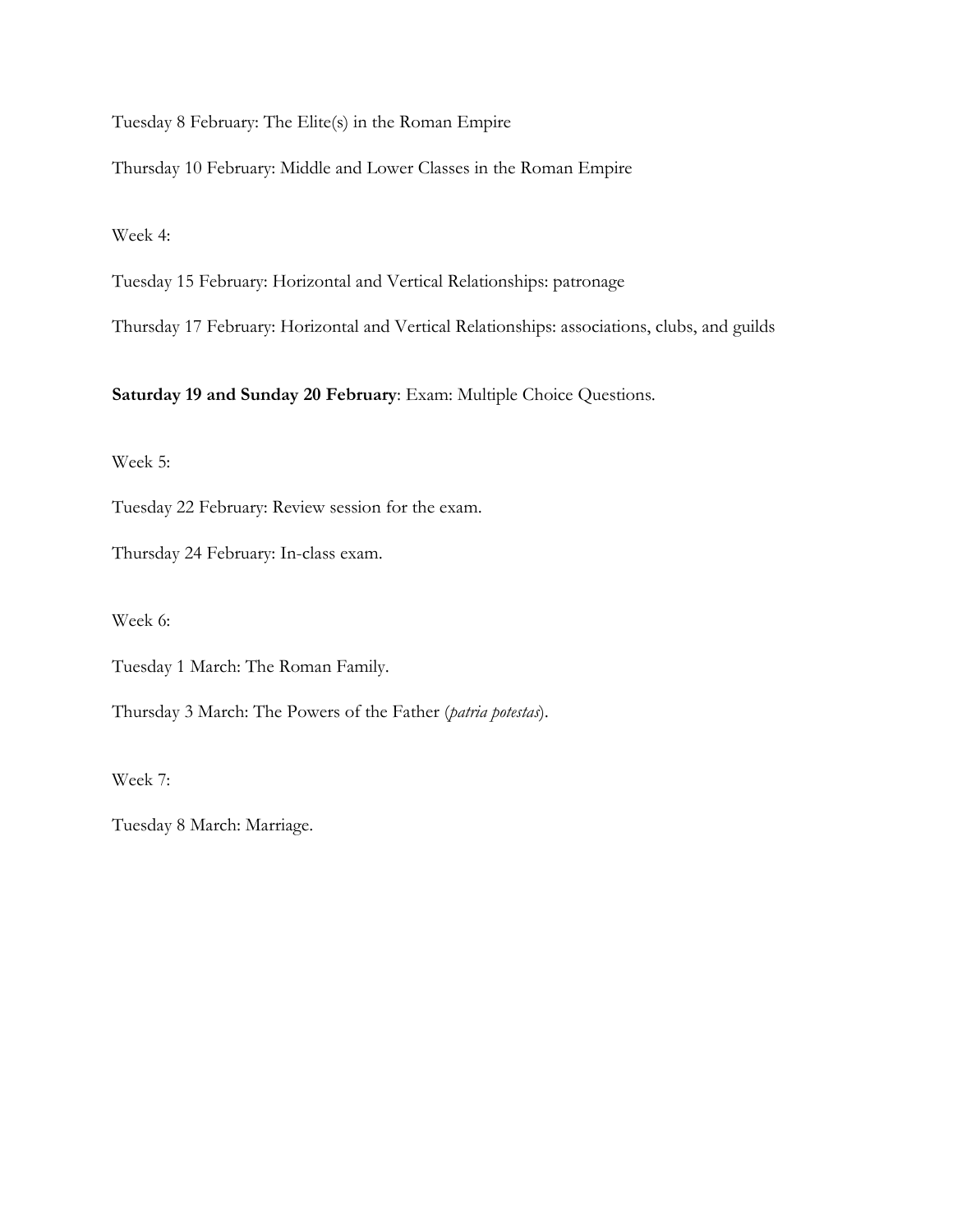Tuesday 8 February: The Elite(s) in the Roman Empire

Thursday 10 February: Middle and Lower Classes in the Roman Empire

## Week 4:

Tuesday 15 February: Horizontal and Vertical Relationships: patronage

Thursday 17 February: Horizontal and Vertical Relationships: associations, clubs, and guilds

**Saturday 19 and Sunday 20 February**: Exam: Multiple Choice Questions.

Week 5:

Tuesday 22 February: Review session for the exam.

Thursday 24 February: In-class exam.

Week 6:

Tuesday 1 March: The Roman Family.

Thursday 3 March: The Powers of the Father (*patria potestas*).

Week 7:

Tuesday 8 March: Marriage.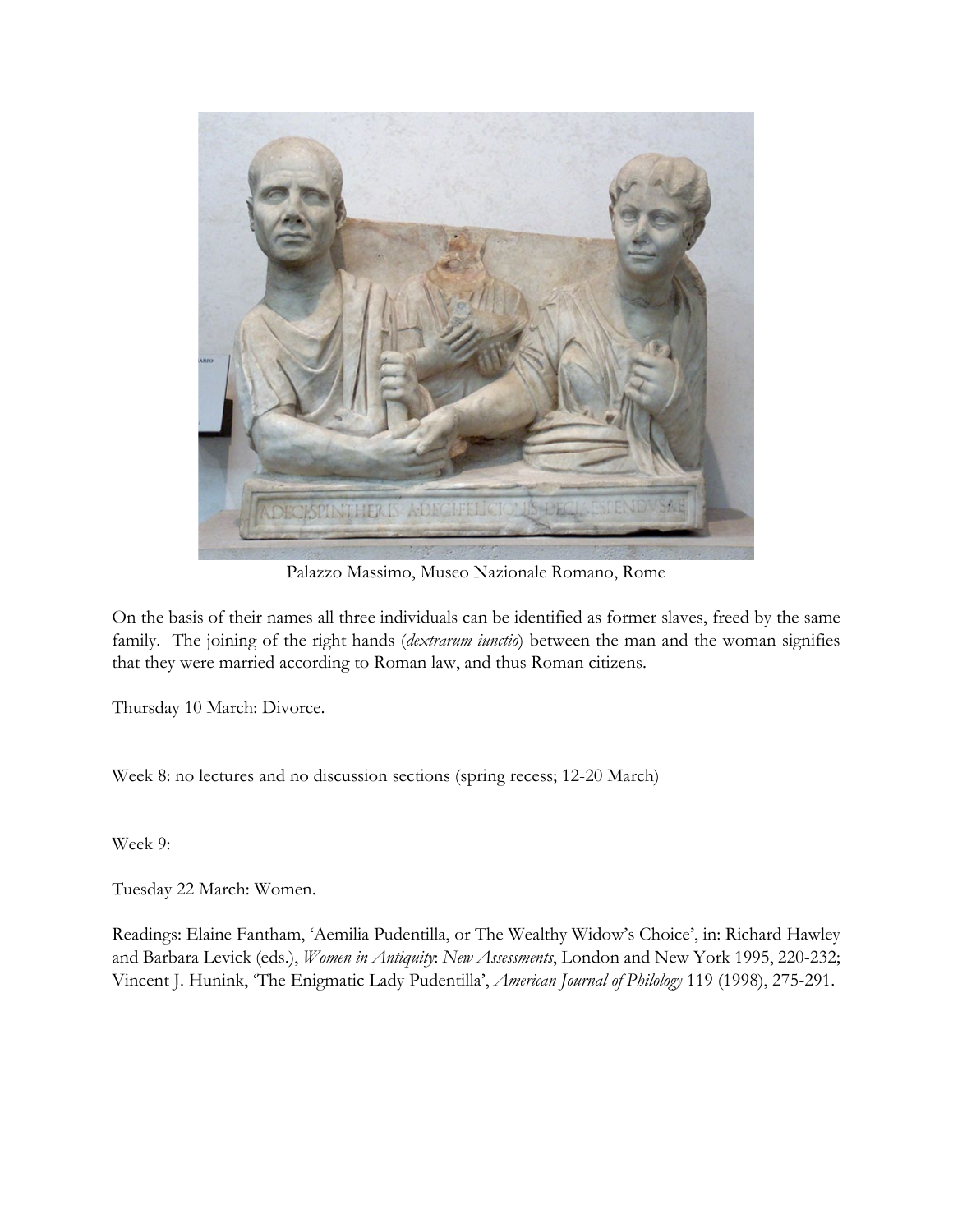

Palazzo Massimo, Museo Nazionale Romano, Rome

On the basis of their names all three individuals can be identified as former slaves, freed by the same family. The joining of the right hands (*dextrarum iunctio*) between the man and the woman signifies that they were married according to Roman law, and thus Roman citizens.

Thursday 10 March: Divorce.

Week 8: no lectures and no discussion sections (spring recess; 12-20 March)

Week 9:

Tuesday 22 March: Women.

Readings: Elaine Fantham, 'Aemilia Pudentilla, or The Wealthy Widow's Choice', in: Richard Hawley and Barbara Levick (eds.), *Women in Antiquity*: *New Assessments*, London and New York 1995, 220-232; Vincent J. Hunink, 'The Enigmatic Lady Pudentilla', *American Journal of Philology* 119 (1998), 275-291.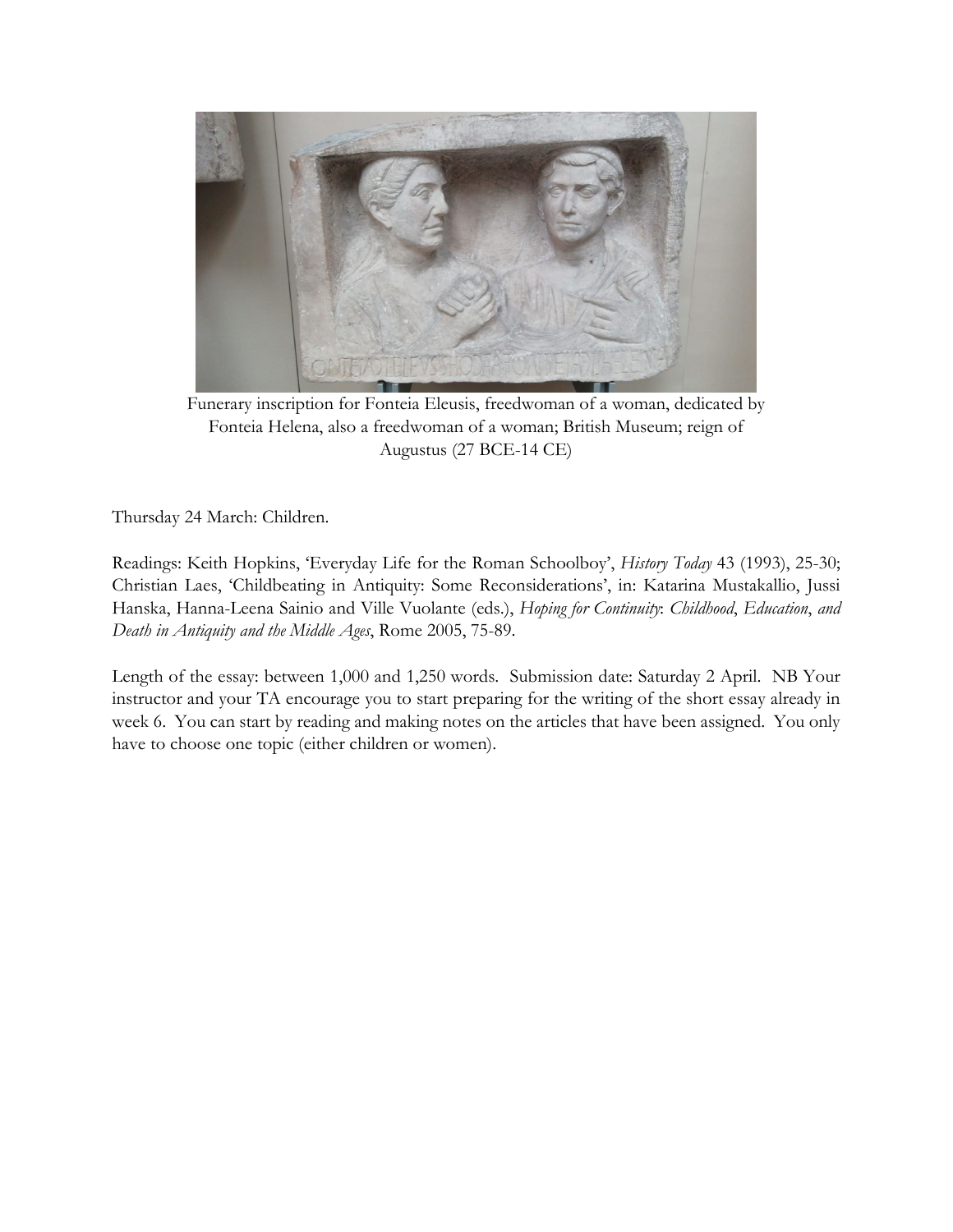

Funerary inscription for Fonteia Eleusis, freedwoman of a woman, dedicated by Fonteia Helena, also a freedwoman of a woman; British Museum; reign of Augustus (27 BCE-14 CE)

Thursday 24 March: Children.

Readings: Keith Hopkins, 'Everyday Life for the Roman Schoolboy', *History Today* 43 (1993), 25-30; Christian Laes, 'Childbeating in Antiquity: Some Reconsiderations', in: Katarina Mustakallio, Jussi Hanska, Hanna-Leena Sainio and Ville Vuolante (eds.), *Hoping for Continuity*: *Childhood*, *Education*, *and Death in Antiquity and the Middle Ages*, Rome 2005, 75-89.

Length of the essay: between 1,000 and 1,250 words. Submission date: Saturday 2 April. NB Your instructor and your TA encourage you to start preparing for the writing of the short essay already in week 6. You can start by reading and making notes on the articles that have been assigned. You only have to choose one topic (either children or women).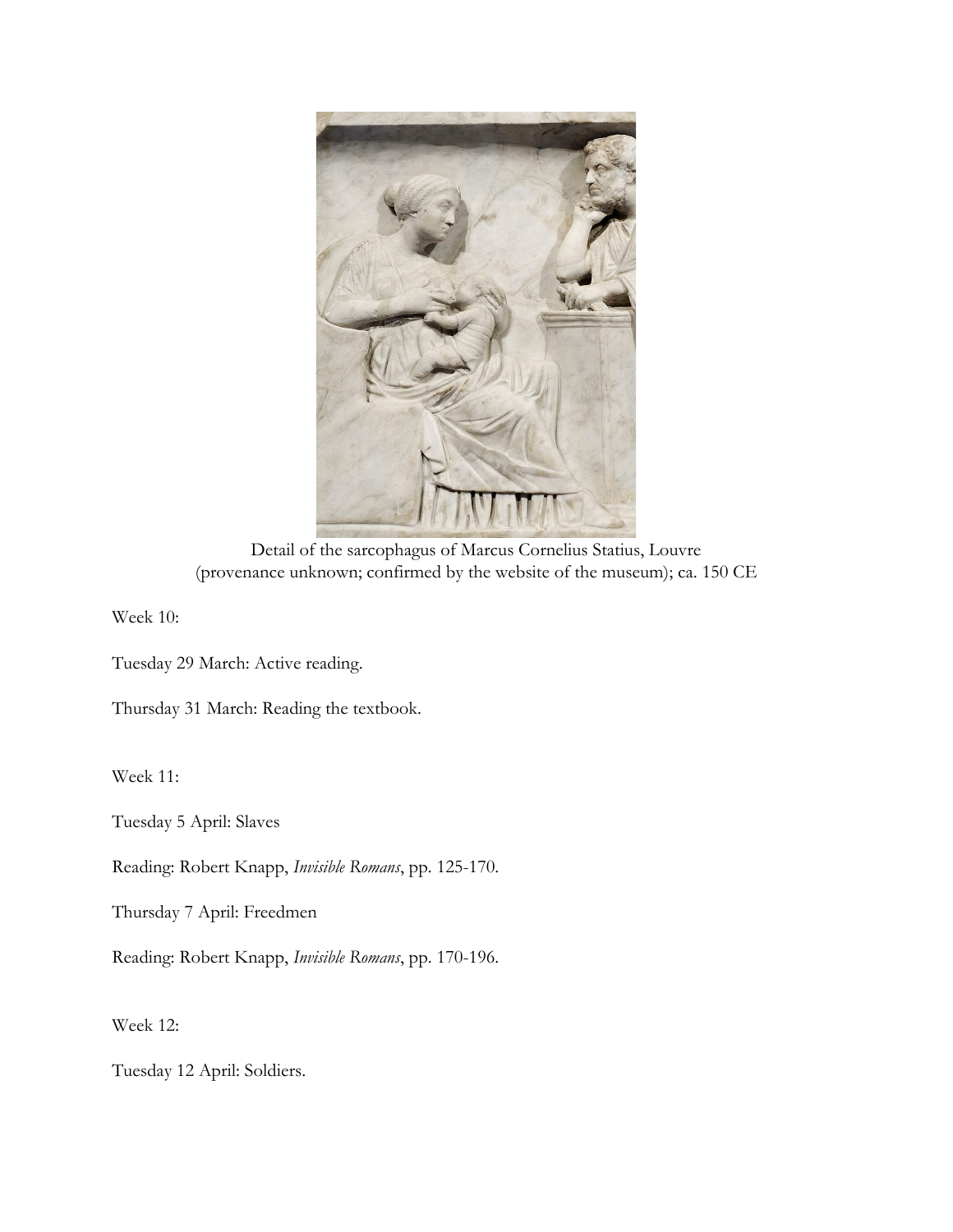

Detail of the sarcophagus of Marcus Cornelius Statius, Louvre (provenance unknown; confirmed by the website of the museum); ca. 150 CE

Week 10:

- Tuesday 29 March: Active reading.
- Thursday 31 March: Reading the textbook.

Week 11:

Tuesday 5 April: Slaves

Reading: Robert Knapp, *Invisible Romans*, pp. 125-170.

Thursday 7 April: Freedmen

Reading: Robert Knapp, *Invisible Romans*, pp. 170-196.

Week 12:

Tuesday 12 April: Soldiers.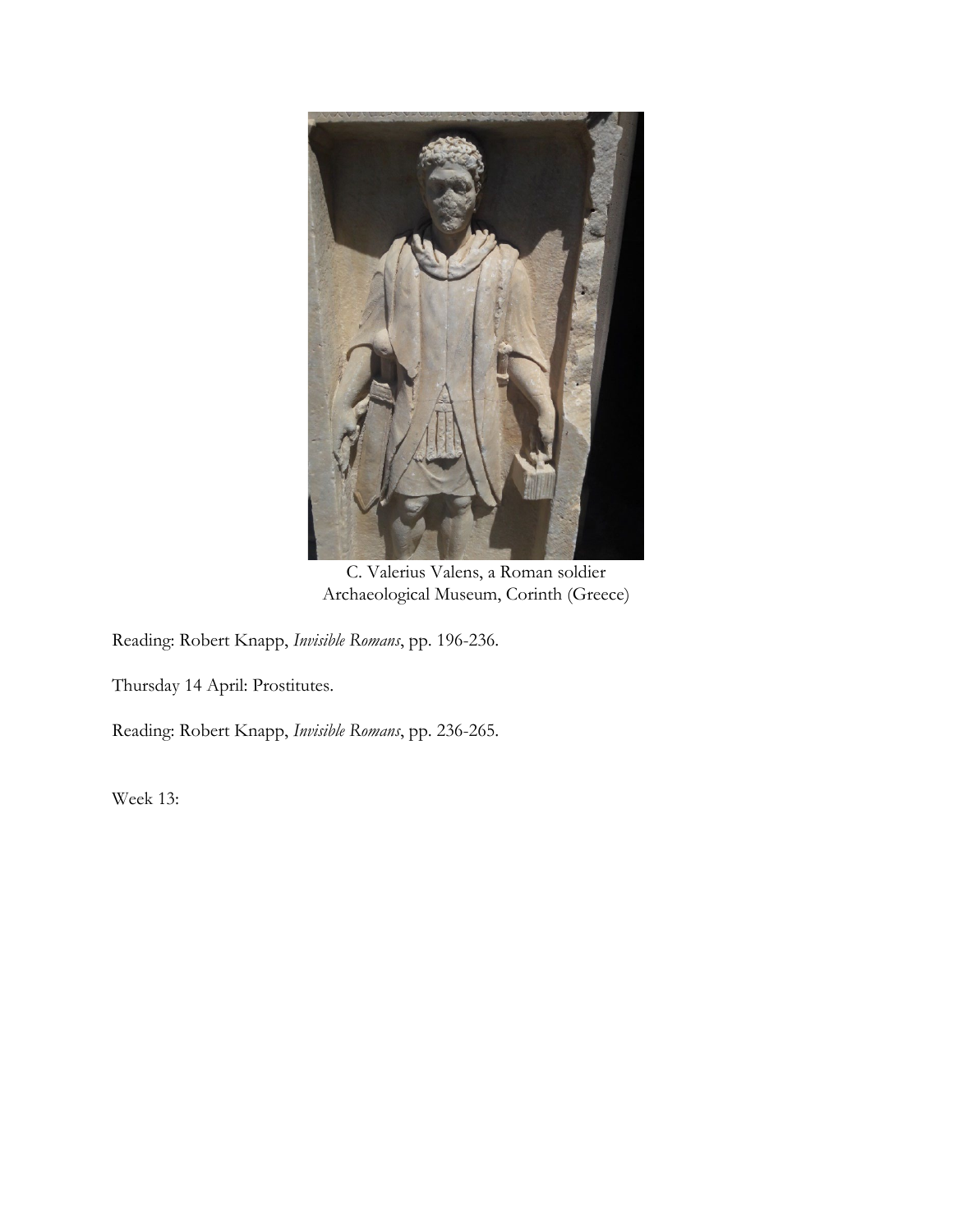

C. Valerius Valens, a Roman soldier Archaeological Museum, Corinth (Greece)

Reading: Robert Knapp, *Invisible Romans*, pp. 196-236.

Thursday 14 April: Prostitutes.

Reading: Robert Knapp, *Invisible Romans*, pp. 236-265.

Week 13: